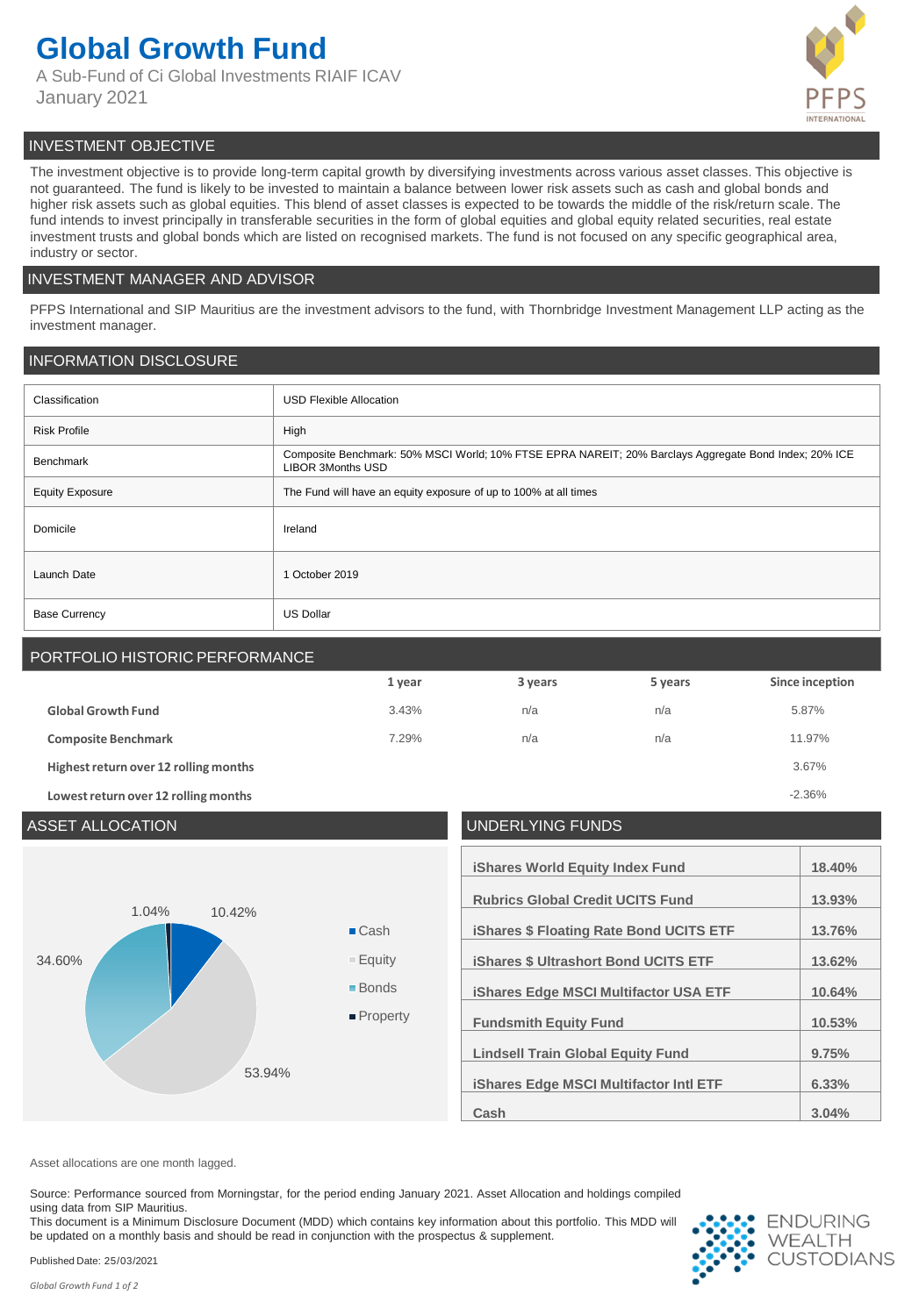# **Global Growth Fund**

A Sub-Fund of Ci Global Investments RIAIF ICAV January 2021



# INVESTMENT OBJECTIVE

The investment objective is to provide long-term capital growth by diversifying investments across various asset classes. This objective is not guaranteed. The fund is likely to be invested to maintain a balance between lower risk assets such as cash and global bonds and higher risk assets such as global equities. This blend of asset classes is expected to be towards the middle of the risk/return scale. The fund intends to invest principally in transferable securities in the form of global equities and global equity related securities, real estate investment trusts and global bonds which are listed on recognised markets. The fund is not focused on any specific geographical area, industry or sector.

# INVESTMENT MANAGER AND ADVISOR

PFPS International and SIP Mauritius are the investment advisors to the fund, with Thornbridge Investment Management LLP acting as the investment manager.

# INFORMATION DISCLOSURE

| Classification         | <b>USD Flexible Allocation</b>                                                                                                    |
|------------------------|-----------------------------------------------------------------------------------------------------------------------------------|
| <b>Risk Profile</b>    | High                                                                                                                              |
| Benchmark              | Composite Benchmark: 50% MSCI World; 10% FTSE EPRA NAREIT; 20% Barclays Aggregate Bond Index; 20% ICE<br><b>LIBOR 3Months USD</b> |
| <b>Equity Exposure</b> | The Fund will have an equity exposure of up to 100% at all times                                                                  |
| Domicile               | Ireland                                                                                                                           |
| Launch Date            | 1 October 2019                                                                                                                    |
| <b>Base Currency</b>   | <b>US Dollar</b>                                                                                                                  |

# PORTFOLIO HISTORIC PERFORMANCE

|                                       | 1 year | 3 years | 5 years | Since inception |
|---------------------------------------|--------|---------|---------|-----------------|
| <b>Global Growth Fund</b>             | 3.43%  | n/a     | n/a     | 5.87%           |
| <b>Composite Benchmark</b>            | 7.29%  | n/a     | n/a     | 11.97%          |
| Highest return over 12 rolling months |        |         |         | 3.67%           |
| Lowest return over 12 rolling months  |        |         |         | $-2.36%$        |

# ASSET ALLOCATION UNDERLYING FUNDS 10.42% 53.94% 34.60% 1.04% ■ Cash ■ Equity ■ Bonds **Property**

| <b>iShares World Equity Index Fund</b>         | 18.40% |
|------------------------------------------------|--------|
| <b>Rubrics Global Credit UCITS Fund</b>        | 13.93% |
|                                                |        |
| <b>iShares \$ Floating Rate Bond UCITS ETF</b> | 13.76% |
| <b>iShares \$ Ultrashort Bond UCITS ETF</b>    | 13.62% |
| <b>iShares Edge MSCI Multifactor USA ETF</b>   | 10.64% |
| <b>Fundsmith Equity Fund</b>                   | 10.53% |
| <b>Lindsell Train Global Equity Fund</b>       | 9.75%  |
| <b>iShares Edge MSCI Multifactor Intl ETF</b>  | 6.33%  |
| Cash                                           | 3.04%  |

Asset allocations are one month lagged.

Source: Performance sourced from Morningstar, for the period ending January 2021. Asset Allocation and holdings compiled using data from SIP Mauritius.

This document is a Minimum Disclosure Document (MDD) which contains key information about this portfolio. This MDD will be updated on a monthly basis and should be read in conjunction with the prospectus & supplement.